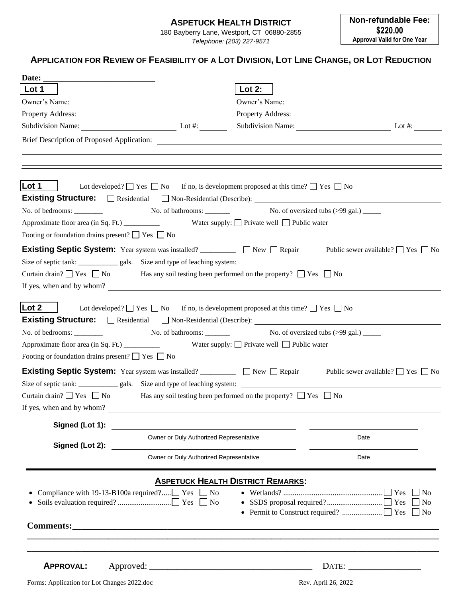### **ASPETUCK HEALTH DISTRICT**

180 Bayberry Lane, Westport, CT 06880-2855 *Telephone: (203) 227-9571*

### APPLICATION FOR REVIEW OF FEASIBILITY OF A LOT DIVISION, LOT LINE CHANGE, OR LOT REDUCTION

| Date:                                                                                                            |                                          |                                                                                                                      |
|------------------------------------------------------------------------------------------------------------------|------------------------------------------|----------------------------------------------------------------------------------------------------------------------|
| Lot 1                                                                                                            | Lot $2:$                                 |                                                                                                                      |
| Owner's Name:                                                                                                    | Owner's Name:                            | <u> Alexandria de la contrada de la contrada de la contrada de la contrada de la contrada de la contrada de la c</u> |
|                                                                                                                  |                                          |                                                                                                                      |
| Subdivision Name: Lot #:                                                                                         |                                          | Subdivision Name: Lot #:                                                                                             |
|                                                                                                                  |                                          |                                                                                                                      |
|                                                                                                                  |                                          |                                                                                                                      |
|                                                                                                                  |                                          |                                                                                                                      |
| Lot 1                                                                                                            |                                          |                                                                                                                      |
| Lot developed? $\Box$ Yes $\Box$ No If no, is development proposed at this time? $\Box$ Yes $\Box$ No            |                                          |                                                                                                                      |
|                                                                                                                  |                                          |                                                                                                                      |
|                                                                                                                  |                                          |                                                                                                                      |
| Footing or foundation drains present? $\Box$ Yes $\Box$ No                                                       |                                          |                                                                                                                      |
|                                                                                                                  |                                          | Public sewer available? $\Box$ Yes $\Box$ No                                                                         |
|                                                                                                                  |                                          |                                                                                                                      |
| Curtain drain? $\Box$ Yes $\Box$ No Has any soil testing been performed on the property? $\Box$ Yes $\Box$ No    |                                          |                                                                                                                      |
| If yes, when and by whom?                                                                                        |                                          |                                                                                                                      |
|                                                                                                                  |                                          |                                                                                                                      |
| Lot 2<br>Lot developed? $\Box$ Yes $\Box$ No If no, is development proposed at this time? $\Box$ Yes $\Box$ No   |                                          |                                                                                                                      |
|                                                                                                                  |                                          |                                                                                                                      |
| No. of bedrooms: No. of bathrooms: No. of bathrooms: No. of oversized tubs (>99 gal.) _____                      |                                          |                                                                                                                      |
|                                                                                                                  |                                          |                                                                                                                      |
| Footing or foundation drains present? $\Box$ Yes $\Box$ No                                                       |                                          |                                                                                                                      |
| Existing Septic System: Year system was installed? _________ DNew DRepair Public sewer available? DYes DNo       |                                          |                                                                                                                      |
| Size of septic tank: ______________ gals. Size and type of leaching system:                                      |                                          |                                                                                                                      |
| Curtain drain? $\Box$ Yes $\Box$ No<br>Has any soil testing been performed on the property? $\Box$ Yes $\Box$ No |                                          |                                                                                                                      |
| If yes, when and by whom?                                                                                        |                                          |                                                                                                                      |
| Signed (Lot 1):                                                                                                  |                                          |                                                                                                                      |
| Owner or Duly Authorized Representative                                                                          |                                          | Date                                                                                                                 |
| Signed (Lot 2):                                                                                                  |                                          |                                                                                                                      |
| Owner or Duly Authorized Representative                                                                          |                                          | Date                                                                                                                 |
|                                                                                                                  |                                          |                                                                                                                      |
|                                                                                                                  | <b>ASPETUCK HEALTH DISTRICT REMARKS:</b> |                                                                                                                      |
| • Compliance with 19-13-B100a required? $\Box$ Yes $\Box$ No                                                     |                                          | $\Box$ No<br>N <sub>o</sub>                                                                                          |
|                                                                                                                  |                                          |                                                                                                                      |
|                                                                                                                  |                                          |                                                                                                                      |
|                                                                                                                  |                                          |                                                                                                                      |
|                                                                                                                  |                                          |                                                                                                                      |
|                                                                                                                  |                                          |                                                                                                                      |
| <b>APPROVAL:</b>                                                                                                 |                                          |                                                                                                                      |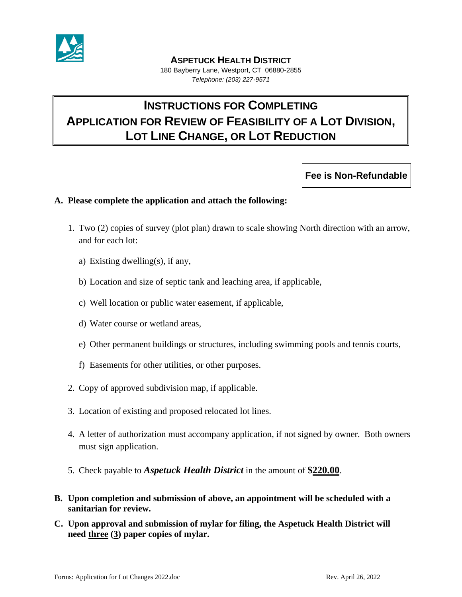

#### **ASPETUCK HEALTH DISTRICT**

180 Bayberry Lane, Westport, CT 06880-2855 *Telephone: (203) 227-9571*

# **INSTRUCTIONS FOR COMPLETING APPLICATION FOR REVIEW OF FEASIBILITY OF A LOT DIVISION, LOT LINE CHANGE, OR LOT REDUCTION**

**Fee is Non-Refundable**

#### **A. Please complete the application and attach the following:**

- 1. Two (2) copies of survey (plot plan) drawn to scale showing North direction with an arrow, and for each lot:
	- a) Existing dwelling(s), if any,
	- b) Location and size of septic tank and leaching area, if applicable,
	- c) Well location or public water easement, if applicable,
	- d) Water course or wetland areas,
	- e) Other permanent buildings or structures, including swimming pools and tennis courts,
	- f) Easements for other utilities, or other purposes.
- 2. Copy of approved subdivision map, if applicable.
- 3. Location of existing and proposed relocated lot lines.
- 4. A letter of authorization must accompany application, if not signed by owner. Both owners must sign application.
- 5. Check payable to *Aspetuck Health District* in the amount of **\$220.00**.
- **B. Upon completion and submission of above, an appointment will be scheduled with a sanitarian for review.**
- **C. Upon approval and submission of mylar for filing, the Aspetuck Health District will need three (3) paper copies of mylar.**